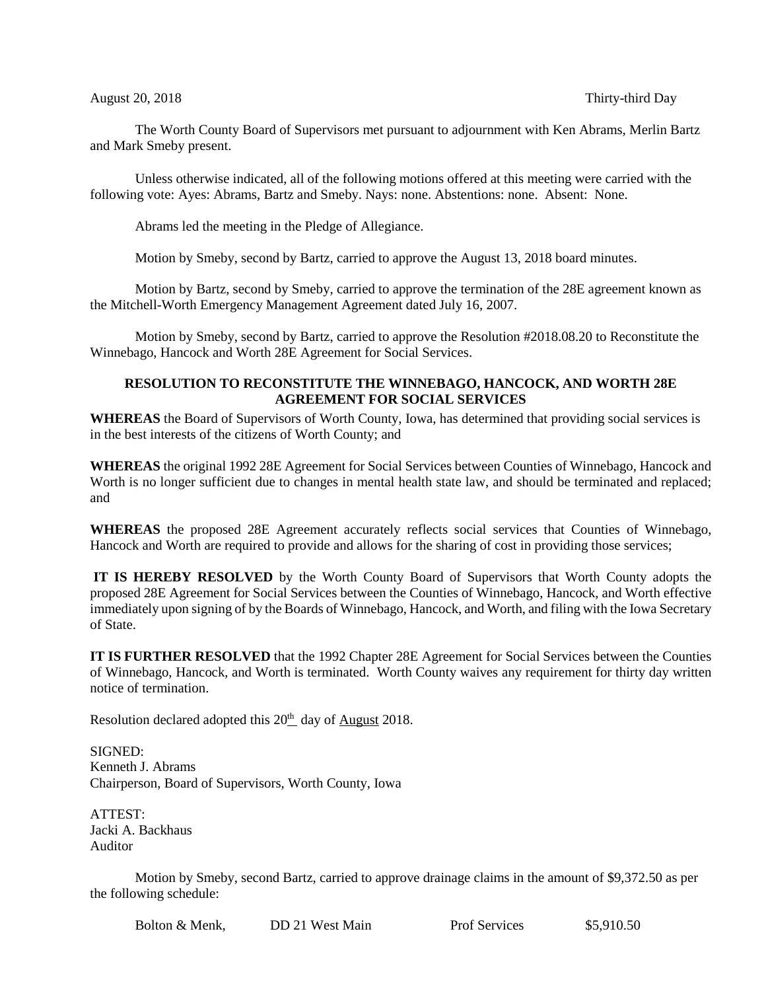## August 20, 2018 Thirty-third Day

The Worth County Board of Supervisors met pursuant to adjournment with Ken Abrams, Merlin Bartz and Mark Smeby present.

Unless otherwise indicated, all of the following motions offered at this meeting were carried with the following vote: Ayes: Abrams, Bartz and Smeby. Nays: none. Abstentions: none. Absent: None.

Abrams led the meeting in the Pledge of Allegiance.

Motion by Smeby, second by Bartz, carried to approve the August 13, 2018 board minutes.

Motion by Bartz, second by Smeby, carried to approve the termination of the 28E agreement known as the Mitchell-Worth Emergency Management Agreement dated July 16, 2007.

Motion by Smeby, second by Bartz, carried to approve the Resolution #2018.08.20 to Reconstitute the Winnebago, Hancock and Worth 28E Agreement for Social Services.

## **RESOLUTION TO RECONSTITUTE THE WINNEBAGO, HANCOCK, AND WORTH 28E AGREEMENT FOR SOCIAL SERVICES**

**WHEREAS** the Board of Supervisors of Worth County, Iowa, has determined that providing social services is in the best interests of the citizens of Worth County; and

**WHEREAS** the original 1992 28E Agreement for Social Services between Counties of Winnebago, Hancock and Worth is no longer sufficient due to changes in mental health state law, and should be terminated and replaced; and

**WHEREAS** the proposed 28E Agreement accurately reflects social services that Counties of Winnebago, Hancock and Worth are required to provide and allows for the sharing of cost in providing those services;

**IT IS HEREBY RESOLVED** by the Worth County Board of Supervisors that Worth County adopts the proposed 28E Agreement for Social Services between the Counties of Winnebago, Hancock, and Worth effective immediately upon signing of by the Boards of Winnebago, Hancock, and Worth, and filing with the Iowa Secretary of State.

**IT IS FURTHER RESOLVED** that the 1992 Chapter 28E Agreement for Social Services between the Counties of Winnebago, Hancock, and Worth is terminated. Worth County waives any requirement for thirty day written notice of termination.

Resolution declared adopted this 20<sup>th</sup> day of August 2018.

SIGNED: Kenneth J. Abrams Chairperson, Board of Supervisors, Worth County, Iowa

ATTEST: Jacki A. Backhaus Auditor

Motion by Smeby, second Bartz, carried to approve drainage claims in the amount of \$9,372.50 as per the following schedule:

Bolton & Menk,  $\Box$ DD 21 West Main Prof Services \$5,910.50